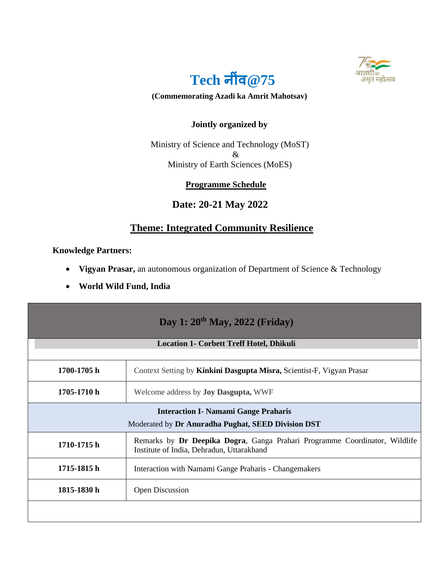



#### **(Commemorating Azadi ka Amrit Mahotsav)**

### **Jointly organized by**

Ministry of Science and Technology (MoST) & Ministry of Earth Sciences (MoES)

#### **Programme Schedule**

## **Date: 20-21 May 2022**

# **Theme: Integrated Community Resilience**

**Knowledge Partners:** 

- **Vigyan Prasar,** an autonomous organization of Department of Science & Technology
- **World Wild Fund, India**

| Day 1: 20 <sup>th</sup> May, 2022 (Friday)                                                        |                                                                                                                         |  |
|---------------------------------------------------------------------------------------------------|-------------------------------------------------------------------------------------------------------------------------|--|
| <b>Location 1- Corbett Treff Hotel, Dhikuli</b>                                                   |                                                                                                                         |  |
| 1700-1705 h                                                                                       | Context Setting by Kinkini Dasgupta Misra, Scientist-F, Vigyan Prasar                                                   |  |
| 1705-1710 h                                                                                       | Welcome address by <b>Joy Dasgupta</b> , WWF                                                                            |  |
| <b>Interaction I- Namami Gange Praharis</b><br>Moderated by Dr Anuradha Pughat, SEED Division DST |                                                                                                                         |  |
| 1710-1715 h                                                                                       | Remarks by Dr Deepika Dogra, Ganga Prahari Programme Coordinator, Wildlife<br>Institute of India, Dehradun, Uttarakhand |  |
| 1715-1815 h                                                                                       | Interaction with Namami Gange Praharis - Changemakers                                                                   |  |
| 1815-1830 h                                                                                       | <b>Open Discussion</b>                                                                                                  |  |
|                                                                                                   |                                                                                                                         |  |